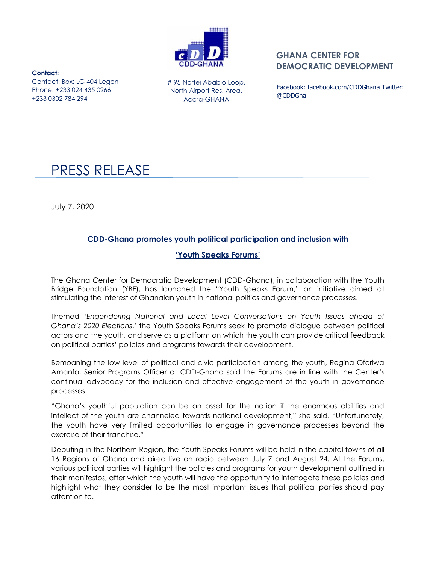

## **GHANA CENTER FOR DEMOCRATIC DEVELOPMENT**

**Contact:**  Contact: Box: LG 404 Legon Phone: +233 024 435 0266 +233 0302 784 294

# 95 Nortei Ababio Loop, North Airport Res. Area, Accra-GHANA

Facebook: facebook.com/CDDGhana Twitter: @CDDGha

# PRESS RELEASE

July 7, 2020

## **CDD-Ghana promotes youth political participation and inclusion with**

## **'Youth Speaks Forums'**

The Ghana Center for Democratic Development (CDD-Ghana), in collaboration with the Youth Bridge Foundation (YBF), has launched the "Youth Speaks Forum," an initiative aimed at stimulating the interest of Ghanaian youth in national politics and governance processes.

Themed "*Engendering National and Local Level Conversations on Youth Issues ahead of Ghana's 2020 Elections*," the Youth Speaks Forums seek to promote dialogue between political actors and the youth, and serve as a platform on which the youth can provide critical feedback on political parties" policies and programs towards their development.

Bemoaning the low level of political and civic participation among the youth, Regina Oforiwa Amanfo, Senior Programs Officer at CDD-Ghana said the Forums are in line with the Center"s continual advocacy for the inclusion and effective engagement of the youth in governance processes.

"Ghana"s youthful population can be an asset for the nation if the enormous abilities and intellect of the youth are channeled towards national development," she said. "Unfortunately, the youth have very limited opportunities to engage in governance processes beyond the exercise of their franchise."

Debuting in the Northern Region, the Youth Speaks Forums will be held in the capital towns of all 16 Regions of Ghana and aired live on radio between July 7 and August 24**.** At the Forums, various political parties will highlight the policies and programs for youth development outlined in their manifestos, after which the youth will have the opportunity to interrogate these policies and highlight what they consider to be the most important issues that political parties should pay attention to.